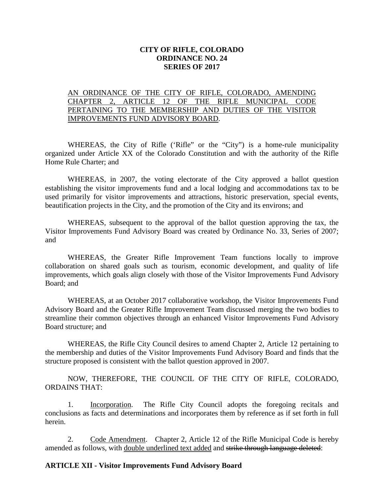### **CITY OF RIFLE, COLORADO ORDINANCE NO. 24 SERIES OF 2017**

## AN ORDINANCE OF THE CITY OF RIFLE, COLORADO, AMENDING CHAPTER 2, ARTICLE 12 OF THE RIFLE MUNICIPAL CODE PERTAINING TO THE MEMBERSHIP AND DUTIES OF THE VISITOR IMPROVEMENTS FUND ADVISORY BOARD.

WHEREAS, the City of Rifle ('Rifle" or the "City") is a home-rule municipality organized under Article XX of the Colorado Constitution and with the authority of the Rifle Home Rule Charter; and

WHEREAS, in 2007, the voting electorate of the City approved a ballot question establishing the visitor improvements fund and a local lodging and accommodations tax to be used primarily for visitor improvements and attractions, historic preservation, special events, beautification projects in the City, and the promotion of the City and its environs; and

WHEREAS, subsequent to the approval of the ballot question approving the tax, the Visitor Improvements Fund Advisory Board was created by Ordinance No. 33, Series of 2007; and

WHEREAS, the Greater Rifle Improvement Team functions locally to improve collaboration on shared goals such as tourism, economic development, and quality of life improvements, which goals align closely with those of the Visitor Improvements Fund Advisory Board; and

WHEREAS, at an October 2017 collaborative workshop, the Visitor Improvements Fund Advisory Board and the Greater Rifle Improvement Team discussed merging the two bodies to streamline their common objectives through an enhanced Visitor Improvements Fund Advisory Board structure; and

WHEREAS, the Rifle City Council desires to amend Chapter 2, Article 12 pertaining to the membership and duties of the Visitor Improvements Fund Advisory Board and finds that the structure proposed is consistent with the ballot question approved in 2007.

NOW, THEREFORE, THE COUNCIL OF THE CITY OF RIFLE, COLORADO, ORDAINS THAT:

1. Incorporation. The Rifle City Council adopts the foregoing recitals and conclusions as facts and determinations and incorporates them by reference as if set forth in full herein.

2. Code Amendment. Chapter 2, Article 12 of the Rifle Municipal Code is hereby amended as follows, with double underlined text added and strike through language deleted:

#### **ARTICLE XII - Visitor Improvements Fund Advisory Board**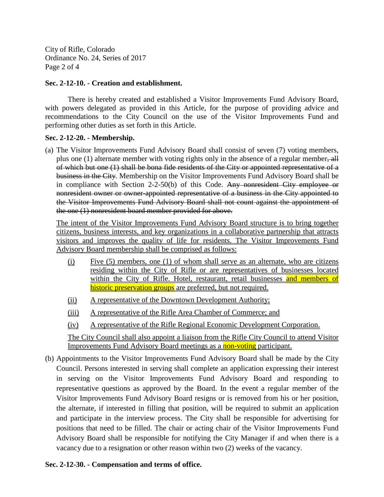City of Rifle, Colorado Ordinance No. 24, Series of 2017 Page 2 of 4

## **Sec. 2-12-10. - Creation and establishment.**

There is hereby created and established a Visitor Improvements Fund Advisory Board, with powers delegated as provided in this Article, for the purpose of providing advice and recommendations to the City Council on the use of the Visitor Improvements Fund and performing other duties as set forth in this Article.

## **Sec. 2-12-20. - Membership.**

(a) The Visitor Improvements Fund Advisory Board shall consist of seven (7) voting members, plus one (1) alternate member with voting rights only in the absence of a regular member, all of which but one (1) shall be bona fide residents of the City or appointed representative of a business in the City. Membership on the Visitor Improvements Fund Advisory Board shall be in compliance with Section 2-2-50(b) of this Code. Any nonresident City employee or nonresident owner or owner-appointed representative of a business in the City appointed to the Visitor Improvements Fund Advisory Board shall not count against the appointment of the one (1) nonresident board member provided for above.

The intent of the Visitor Improvements Fund Advisory Board structure is to bring together citizens, business interests, and key organizations in a collaborative partnership that attracts visitors and improves the quality of life for residents. The Visitor Improvements Fund Advisory Board membership shall be comprised as follows:

- (i) Five (5) members, one (1) of whom shall serve as an alternate, who are citizens residing within the City of Rifle or are representatives of businesses located within the City of Rifle. Hotel, restaurant, retail businesses and members of historic preservation groups are preferred, but not required.
- (ii) A representative of the Downtown Development Authority;
- (iii) A representative of the Rifle Area Chamber of Commerce; and
- (iv) A representative of the Rifle Regional Economic Development Corporation.

The City Council shall also appoint a liaison from the Rifle City Council to attend Visitor Improvements Fund Advisory Board meetings as a non-voting participant.

(b) Appointments to the Visitor Improvements Fund Advisory Board shall be made by the City Council. Persons interested in serving shall complete an application expressing their interest in serving on the Visitor Improvements Fund Advisory Board and responding to representative questions as approved by the Board. In the event a regular member of the Visitor Improvements Fund Advisory Board resigns or is removed from his or her position, the alternate, if interested in filling that position, will be required to submit an application and participate in the interview process. The City shall be responsible for advertising for positions that need to be filled. The chair or acting chair of the Visitor Improvements Fund Advisory Board shall be responsible for notifying the City Manager if and when there is a vacancy due to a resignation or other reason within two (2) weeks of the vacancy.

# **Sec. 2-12-30. - Compensation and terms of office.**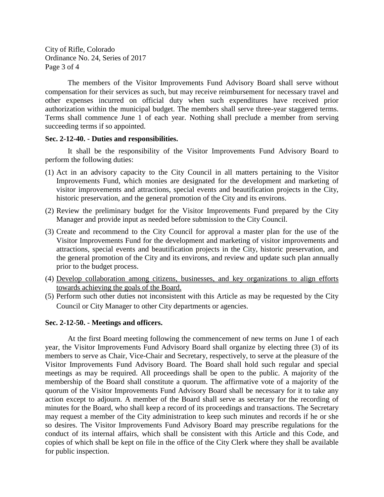City of Rifle, Colorado Ordinance No. 24, Series of 2017 Page 3 of 4

The members of the Visitor Improvements Fund Advisory Board shall serve without compensation for their services as such, but may receive reimbursement for necessary travel and other expenses incurred on official duty when such expenditures have received prior authorization within the municipal budget. The members shall serve three-year staggered terms. Terms shall commence June 1 of each year. Nothing shall preclude a member from serving succeeding terms if so appointed.

#### **Sec. 2-12-40. - Duties and responsibilities.**

It shall be the responsibility of the Visitor Improvements Fund Advisory Board to perform the following duties:

- (1) Act in an advisory capacity to the City Council in all matters pertaining to the Visitor Improvements Fund, which monies are designated for the development and marketing of visitor improvements and attractions, special events and beautification projects in the City, historic preservation, and the general promotion of the City and its environs.
- (2) Review the preliminary budget for the Visitor Improvements Fund prepared by the City Manager and provide input as needed before submission to the City Council.
- (3) Create and recommend to the City Council for approval a master plan for the use of the Visitor Improvements Fund for the development and marketing of visitor improvements and attractions, special events and beautification projects in the City, historic preservation, and the general promotion of the City and its environs, and review and update such plan annually prior to the budget process.
- (4) Develop collaboration among citizens, businesses, and key organizations to align efforts towards achieving the goals of the Board.
- (5) Perform such other duties not inconsistent with this Article as may be requested by the City Council or City Manager to other City departments or agencies.

#### **Sec. 2-12-50. - Meetings and officers.**

At the first Board meeting following the commencement of new terms on June 1 of each year, the Visitor Improvements Fund Advisory Board shall organize by electing three (3) of its members to serve as Chair, Vice-Chair and Secretary, respectively, to serve at the pleasure of the Visitor Improvements Fund Advisory Board. The Board shall hold such regular and special meetings as may be required. All proceedings shall be open to the public. A majority of the membership of the Board shall constitute a quorum. The affirmative vote of a majority of the quorum of the Visitor Improvements Fund Advisory Board shall be necessary for it to take any action except to adjourn. A member of the Board shall serve as secretary for the recording of minutes for the Board, who shall keep a record of its proceedings and transactions. The Secretary may request a member of the City administration to keep such minutes and records if he or she so desires. The Visitor Improvements Fund Advisory Board may prescribe regulations for the conduct of its internal affairs, which shall be consistent with this Article and this Code, and copies of which shall be kept on file in the office of the City Clerk where they shall be available for public inspection.